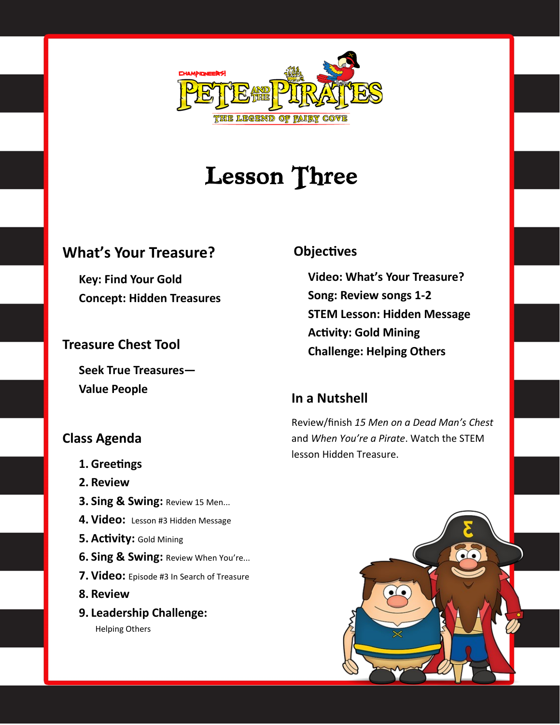

## **Lesson Three**

#### **What's Your Treasure?**

**Key: Find Your Gold Concept: Hidden Treasures**

#### **Treasure Chest Tool**

**Seek True Treasures— Value People**

#### **Class Agenda**

- **1. Greetings**
- **2. Review**
- **3. Sing & Swing:** Review 15 Men...
- **4. Video:** Lesson #3 Hidden Message
- **5. Activity:** Gold Mining
- **6. Sing & Swing:** Review When You're...
- **7. Video:** Episode #3 In Search of Treasure
- **8. Review**
- **9. Leadership Challenge:** Helping Others

#### **Objectives**

**Video: What's Your Treasure? Song: Review songs 1-2 STEM Lesson: Hidden Message Activity: Gold Mining Challenge: Helping Others**

#### **In a Nutshell**

Review/finish *15 Men on a Dead Man's Chest*  and *When You're a Pirate*. Watch the STEM lesson Hidden Treasure.

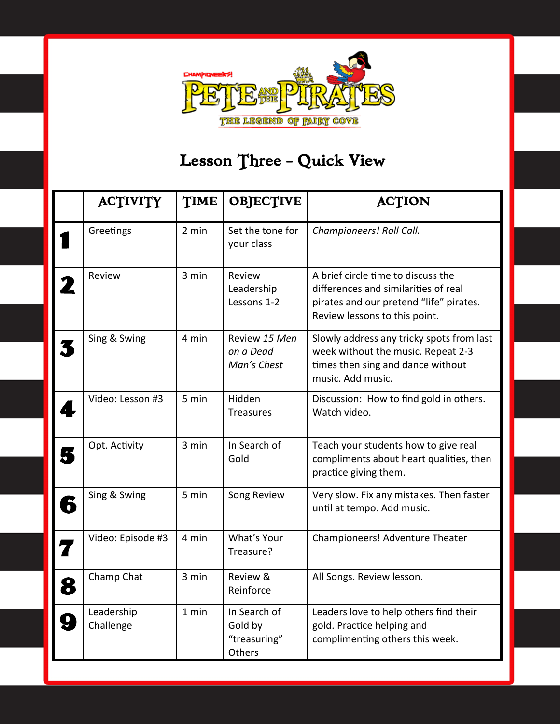

## Lesson Three - Quick View

|   | <b>ACTIVITY</b>         | <b>TIME</b> | <b>OBJECTIVE</b>                                  | <b>ACTION</b>                                                                                                                                          |
|---|-------------------------|-------------|---------------------------------------------------|--------------------------------------------------------------------------------------------------------------------------------------------------------|
|   | Greetings               | 2 min       | Set the tone for<br>your class                    | Championeers! Roll Call.                                                                                                                               |
| 2 | Review                  | 3 min       | Review<br>Leadership<br>Lessons 1-2               | A brief circle time to discuss the<br>differences and similarities of real<br>pirates and our pretend "life" pirates.<br>Review lessons to this point. |
|   | Sing & Swing            | 4 min       | Review 15 Men<br>on a Dead<br>Man's Chest         | Slowly address any tricky spots from last<br>week without the music. Repeat 2-3<br>times then sing and dance without<br>music. Add music.              |
|   | Video: Lesson #3        | 5 min       | Hidden<br><b>Treasures</b>                        | Discussion: How to find gold in others.<br>Watch video.                                                                                                |
| J | Opt. Activity           | 3 min       | In Search of<br>Gold                              | Teach your students how to give real<br>compliments about heart qualities, then<br>practice giving them.                                               |
| 6 | Sing & Swing            | 5 min       | Song Review                                       | Very slow. Fix any mistakes. Then faster<br>until at tempo. Add music.                                                                                 |
| 7 | Video: Episode #3       | 4 min       | What's Your<br>Treasure?                          | Championeers! Adventure Theater                                                                                                                        |
| 8 | Champ Chat              | 3 min       | Review &<br>Reinforce                             | All Songs. Review lesson.                                                                                                                              |
|   | Leadership<br>Challenge | 1 min       | In Search of<br>Gold by<br>"treasuring"<br>Others | Leaders love to help others find their<br>gold. Practice helping and<br>complimenting others this week.                                                |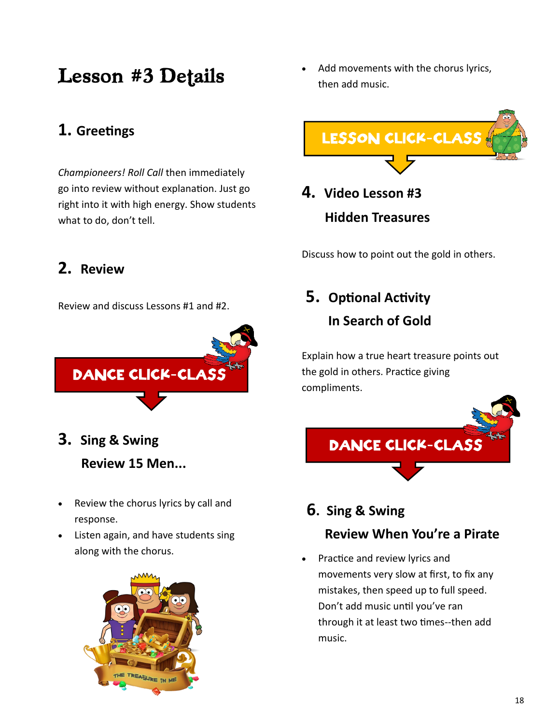## **Lesson #3 Details**

#### **1. Greetings**

*Championeers! Roll Call* then immediately go into review without explanation. Just go right into it with high energy. Show students what to do, don't tell.

#### **2. Review**

Review and discuss Lessons #1 and #2.



**3. Sing & Swing**

 **Review 15 Men...** 

- Review the chorus lyrics by call and response.
- Listen again, and have students sing along with the chorus.



• Add movements with the chorus lyrics, then add music.



**4. Video Lesson #3 Hidden Treasures**

Discuss how to point out the gold in others.

## **5. Optional Activity In Search of Gold**

Explain how a true heart treasure points out the gold in others. Practice giving compliments.



- **6. Sing & Swing Review When You're a Pirate**
- Practice and review lyrics and movements very slow at first, to fix any mistakes, then speed up to full speed. Don't add music until you've ran through it at least two times--then add music.